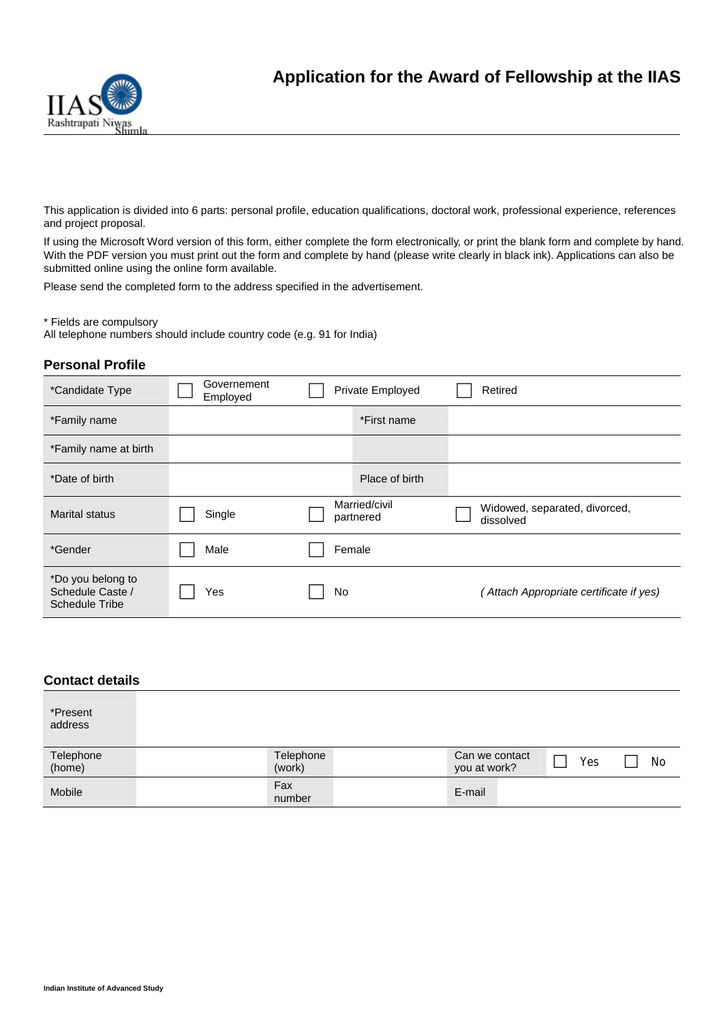

This application is divided into 6 parts: personal profile, education qualifications, doctoral work, professional experience, references and project proposal.

If using the Microsoft Word version of this form, either complete the form electronically, or print the blank form and complete by hand. With the PDF version you must print out the form and complete by hand (please write clearly in black ink). Applications can also be submitted online using the online form available.

Please send the completed form to the address specified in the advertisement.

\* Fields are compulsory

All telephone numbers should include country code (e.g. 91 for India)

# **Personal Profile**

| *Candidate Type                                                | Governement<br>Employed | Private Employed           | Retired                                    |
|----------------------------------------------------------------|-------------------------|----------------------------|--------------------------------------------|
| *Family name                                                   |                         | *First name                |                                            |
| *Family name at birth                                          |                         |                            |                                            |
| *Date of birth                                                 |                         | Place of birth             |                                            |
| Marital status                                                 | Single                  | Married/civil<br>partnered | Widowed, separated, divorced,<br>dissolved |
| *Gender                                                        | Male                    | Female                     |                                            |
| *Do you belong to<br>Schedule Caste /<br><b>Schedule Tribe</b> | Yes                     | No                         | Attach Appropriate certificate if yes)     |

| <b>Contact details</b> |                     |                                |     |     |
|------------------------|---------------------|--------------------------------|-----|-----|
| *Present<br>address    |                     |                                |     |     |
| Telephone<br>(home)    | Telephone<br>(work) | Can we contact<br>you at work? | Yes | No. |
| Mobile                 | Fax<br>number       | E-mail                         |     |     |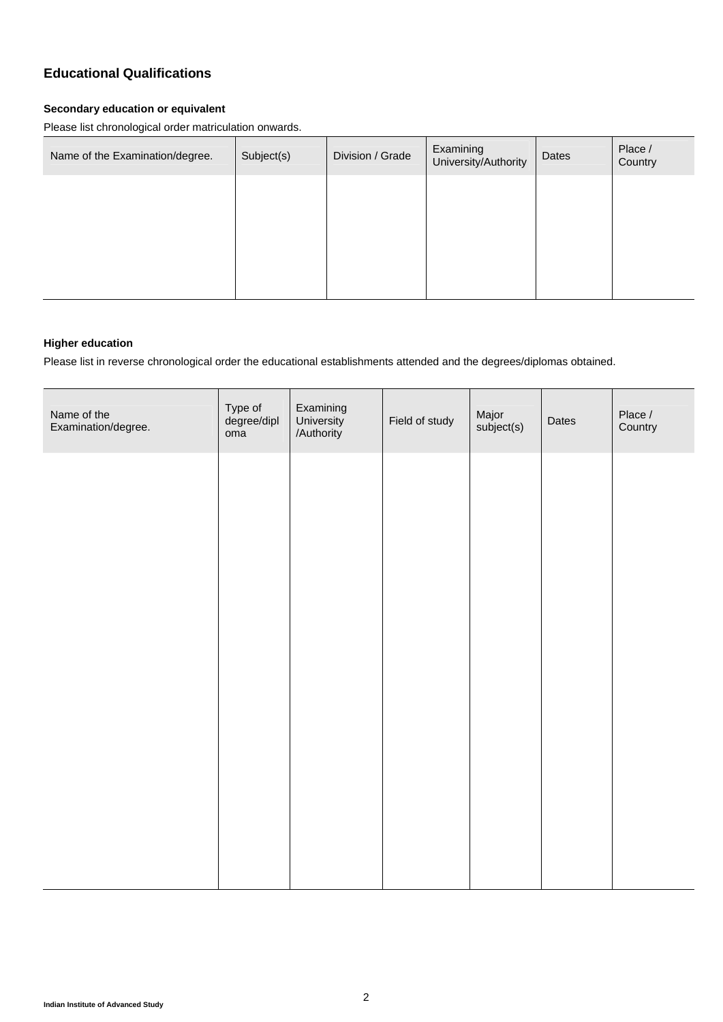# **Educational Qualifications**

#### **Secondary education or equivalent**

Please list chronological order matriculation onwards.

| Name of the Examination/degree. | Subject(s) | Division / Grade | Examining<br>University/Authority | Dates | Place /<br>Country |
|---------------------------------|------------|------------------|-----------------------------------|-------|--------------------|
|                                 |            |                  |                                   |       |                    |
|                                 |            |                  |                                   |       |                    |
|                                 |            |                  |                                   |       |                    |
|                                 |            |                  |                                   |       |                    |

#### **Higher education**

Please list in reverse chronological order the educational establishments attended and the degrees/diplomas obtained.

| Name of the<br>Examination/degree. | Type of<br>degree/dipl<br>oma | Examining<br>University<br>/Authority | Field of study | Major<br>subject(s) | Dates | Place /<br>Country |
|------------------------------------|-------------------------------|---------------------------------------|----------------|---------------------|-------|--------------------|
|                                    |                               |                                       |                |                     |       |                    |
|                                    |                               |                                       |                |                     |       |                    |
|                                    |                               |                                       |                |                     |       |                    |
|                                    |                               |                                       |                |                     |       |                    |
|                                    |                               |                                       |                |                     |       |                    |
|                                    |                               |                                       |                |                     |       |                    |
|                                    |                               |                                       |                |                     |       |                    |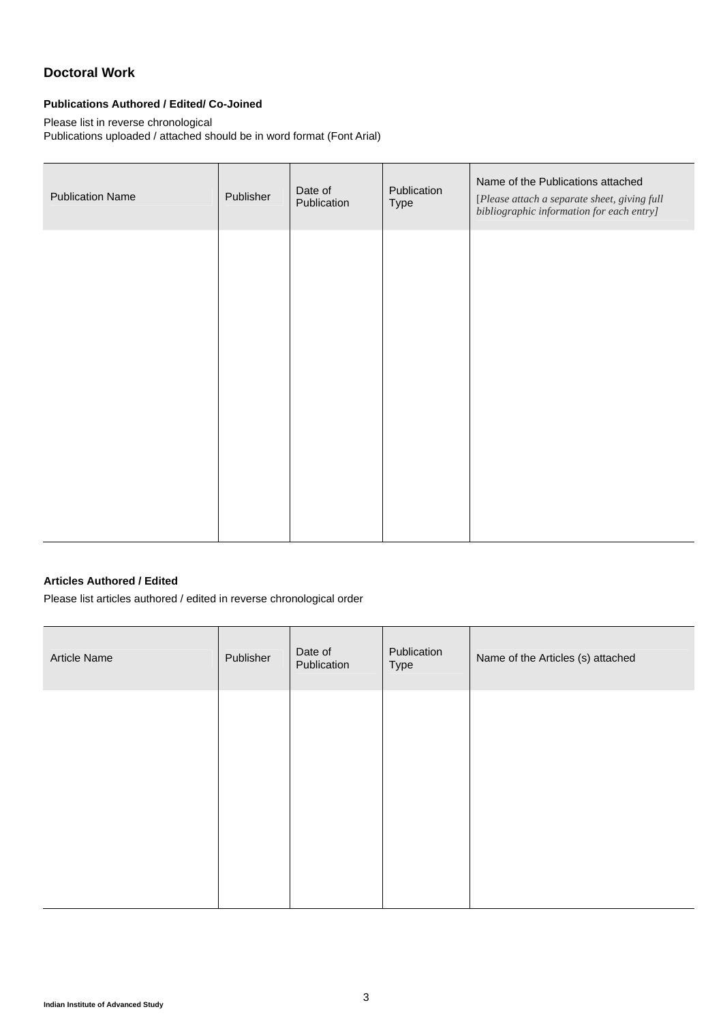# **Doctoral Work**

## **Publications Authored / Edited/ Co-Joined**

Please list in reverse chronological

Publications uploaded / attached should be in word format (Font Arial)

| <b>Publication Name</b> | Publisher | Date of<br>Publication | Publication<br>Type | Name of the Publications attached<br>[Please attach a separate sheet, giving full<br>bibliographic information for each entry] |
|-------------------------|-----------|------------------------|---------------------|--------------------------------------------------------------------------------------------------------------------------------|
|                         |           |                        |                     |                                                                                                                                |
|                         |           |                        |                     |                                                                                                                                |
|                         |           |                        |                     |                                                                                                                                |
|                         |           |                        |                     |                                                                                                                                |
|                         |           |                        |                     |                                                                                                                                |

## **Articles Authored / Edited**

Please list articles authored / edited in reverse chronological order

| Article Name | Publisher | Date of<br>Publication | Publication<br>Type | Name of the Articles (s) attached |
|--------------|-----------|------------------------|---------------------|-----------------------------------|
|              |           |                        |                     |                                   |
|              |           |                        |                     |                                   |
|              |           |                        |                     |                                   |
|              |           |                        |                     |                                   |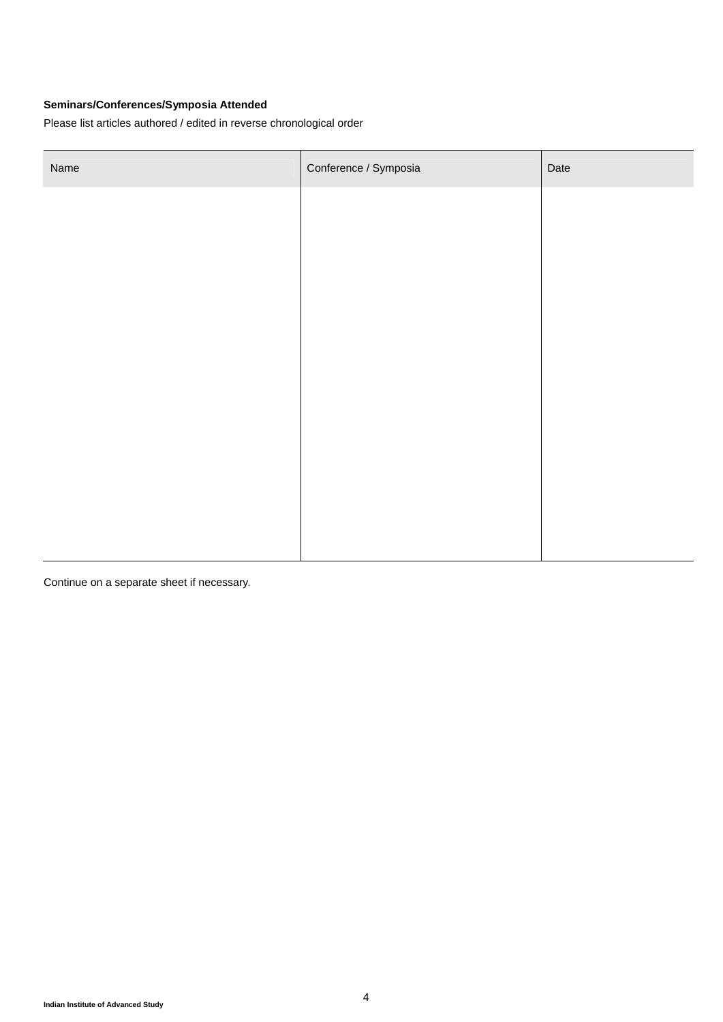## **Seminars/Conferences/Symposia Attended**

Please list articles authored / edited in reverse chronological order

| Name | Conference / Symposia | Date |
|------|-----------------------|------|
|      |                       |      |
|      |                       |      |
|      |                       |      |
|      |                       |      |
|      |                       |      |
|      |                       |      |
|      |                       |      |
|      |                       |      |
|      |                       |      |
|      |                       |      |
|      |                       |      |

Continue on a separate sheet if necessary.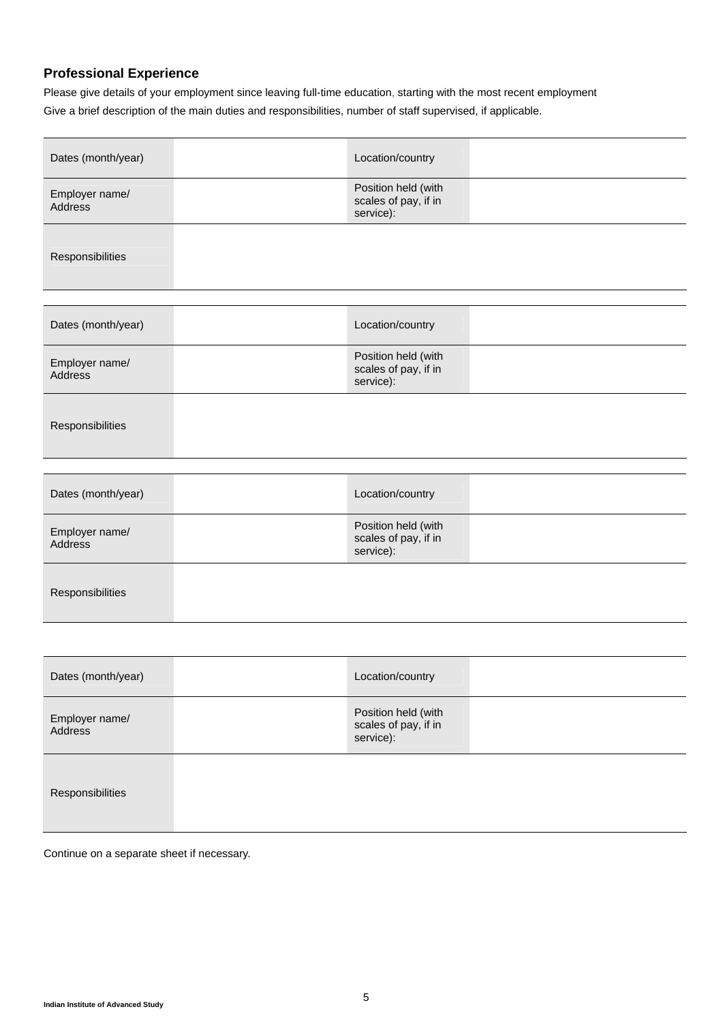## **Professional Experience**

Please give details of your employment since leaving full-time education, starting with the most recent employment Give a brief description of the main duties and responsibilities, number of staff supervised, if applicable.

| Dates (month/year)        | Location/country                                         |  |
|---------------------------|----------------------------------------------------------|--|
| Employer name/<br>Address | Position held (with<br>scales of pay, if in<br>service): |  |
| Responsibilities          |                                                          |  |
| Dates (month/year)        | Location/country                                         |  |
| Employer name/<br>Address | Position held (with<br>scales of pay, if in<br>service): |  |
| Responsibilities          |                                                          |  |
|                           |                                                          |  |
| Dates (month/year)        | Location/country                                         |  |
| Employer name/<br>Address | Position held (with<br>scales of pay, if in<br>service): |  |
| Responsibilities          |                                                          |  |
|                           |                                                          |  |
| Dates (month/year)        | Location/country                                         |  |
| Employer name/<br>Address | Position held (with<br>scales of pay, if in<br>service): |  |
| Responsibilities          |                                                          |  |

Continue on a separate sheet if necessary.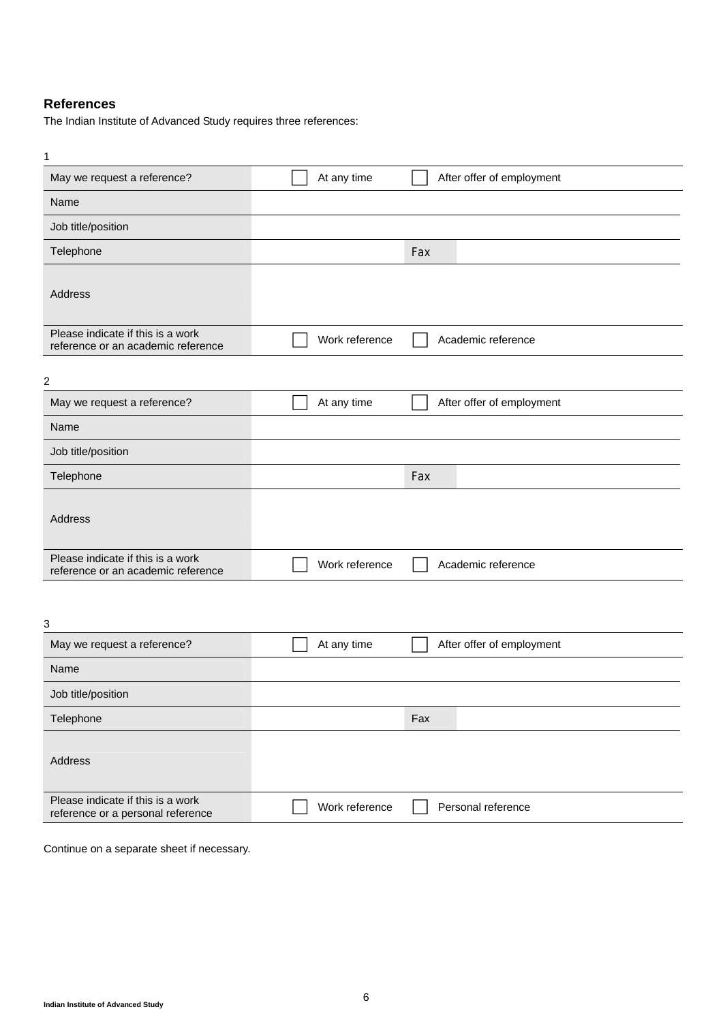## **References**

The Indian Institute of Advanced Study requires three references:

| 1                                                                       |                |                           |
|-------------------------------------------------------------------------|----------------|---------------------------|
| May we request a reference?                                             | At any time    | After offer of employment |
| Name                                                                    |                |                           |
| Job title/position                                                      |                |                           |
| Telephone                                                               |                | Fax                       |
| Address                                                                 |                |                           |
| Please indicate if this is a work<br>reference or an academic reference | Work reference | Academic reference        |
| $\overline{c}$                                                          |                |                           |
| May we request a reference?                                             | At any time    | After offer of employment |
| Name                                                                    |                |                           |
| Job title/position                                                      |                |                           |
| Telephone                                                               |                | Fax                       |
| Address                                                                 |                |                           |
| Please indicate if this is a work<br>reference or an academic reference | Work reference | Academic reference        |
| 3                                                                       |                |                           |
| May we request a reference?                                             | At any time    | After offer of employment |
| Name                                                                    |                |                           |
| Job title/position                                                      |                |                           |
| Telephone                                                               |                | Fax                       |
| Address                                                                 |                |                           |
| Please indicate if this is a work<br>reference or a personal reference  | Work reference | Personal reference        |

Continue on a separate sheet if necessary.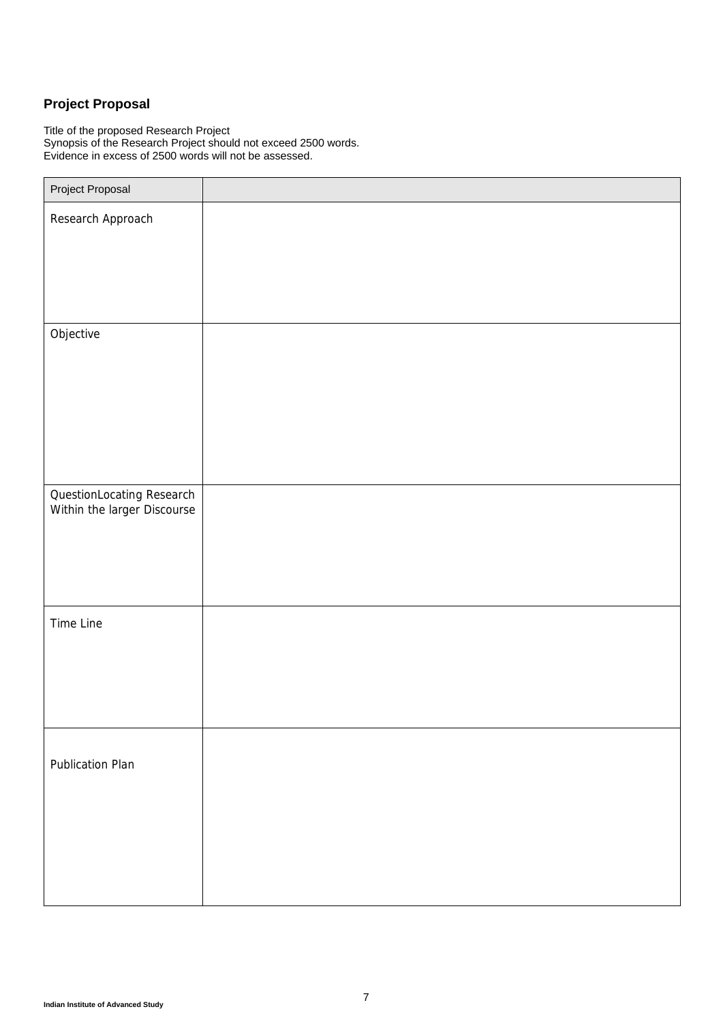# **Project Proposal**

Title of the proposed Research Project Synopsis of the Research Project should not exceed 2500 words. Evidence in excess of 2500 words will not be assessed.

| Project Proposal                                         |  |
|----------------------------------------------------------|--|
| Research Approach                                        |  |
|                                                          |  |
|                                                          |  |
|                                                          |  |
| Objective                                                |  |
|                                                          |  |
|                                                          |  |
|                                                          |  |
|                                                          |  |
|                                                          |  |
| QuestionLocating Research<br>Within the larger Discourse |  |
|                                                          |  |
|                                                          |  |
|                                                          |  |
| Time Line                                                |  |
|                                                          |  |
|                                                          |  |
|                                                          |  |
|                                                          |  |
| Publication Plan                                         |  |
|                                                          |  |
|                                                          |  |
|                                                          |  |
|                                                          |  |